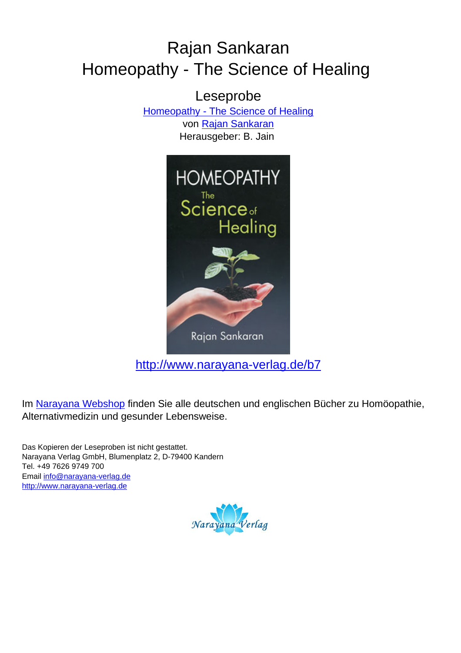## Rajan Sankaran Homeopathy - The Science of Healing

Leseprobe [Homeopathy - The Science of Healing](http://www.narayana-verlag.de/Homeopathy-The-Science-of-Healing-Rajan-Sankaran/b7/partner/leseprobe) von [Rajan Sankaran](http://www.narayana-verlag.de/Rajan-Sankaran/a747/partner/leseprobe) Herausgeber: B. Jain



[http://www.narayana-verlag.de/b7](http://www.narayana-verlag.de/Homeopathy-The-Science-of-Healing-Rajan-Sankaran/b7/partner/leseprobe)

Im [Narayana Webshop](http://www.narayana-verlag.de/partner/leseprobe) finden Sie alle deutschen und englischen Bücher zu Homöopathie, Alternativmedizin und gesunder Lebensweise.

Das Kopieren der Leseproben ist nicht gestattet. Narayana Verlag GmbH, Blumenplatz 2, D-79400 Kandern Tel. +49 7626 9749 700 Email [info@narayana-verlag.de](mailto:info@narayana-verlag.de) [http://www.narayana-verlag.de](http://www.narayana-verlag.de/partner/leseprobe)

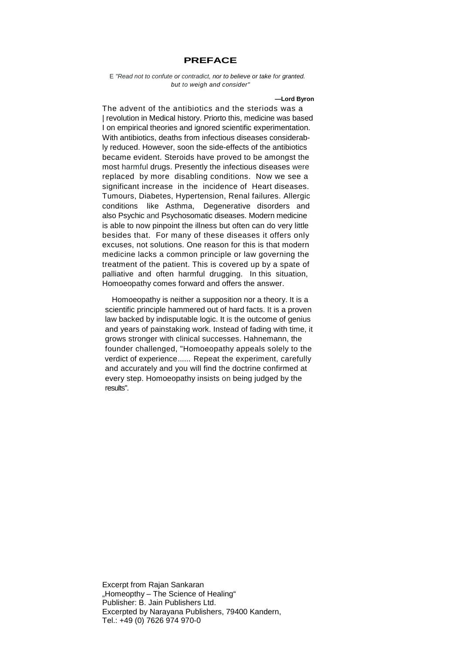## **PREFACE**

## E "Read not to confute or contradict, nor to believe or take for granted. but to weigh and consider"

**—Lord Byron**

The advent of the antibiotics and the steriods was a | revolution in Medical history. Priorto this, medicine was based I on empirical theories and ignored scientific experimentation. With antibiotics, deaths from infectious diseases considerably reduced. However, soon the side-effects of the antibiotics became evident. Steroids have proved to be amongst the most harmful drugs. Presently the infectious diseases were replaced by more disabling conditions. Now we see a significant increase in the incidence of Heart diseases. Tumours, Diabetes, Hypertension, Renal failures. Allergic conditions like Asthma, Degenerative disorders and also Psychic and Psychosomatic diseases. Modern medicine is able to now pinpoint the illness but often can do very little besides that. For many of these diseases it offers only excuses, not solutions. One reason for this is that modern medicine lacks a common principle or law governing the treatment of the patient. This is covered up by a spate of palliative and often harmful drugging. In this situation, Homoeopathy comes forward and offers the answer.

Homoeopathy is neither a supposition nor a theory. It is a scientific principle hammered out of hard facts. It is a proven law backed by indisputable logic. It is the outcome of genius and years of painstaking work. Instead of fading with time, it grows stronger with clinical successes. Hahnemann, the founder challenged, "Homoeopathy appeals solely to the verdict of experience...... Repeat the experiment, carefully and accurately and you will find the doctrine confirmed at every step. Homoeopathy insists on being judged by the results".

Excerpt from Rajan Sankaran "Homeopthy – The Science of Healing" Publisher: B. Jain Publishers Ltd. Excerpted by Narayana Publishers, 79400 Kandern, Tel.: +49 (0) 7626 974 970-0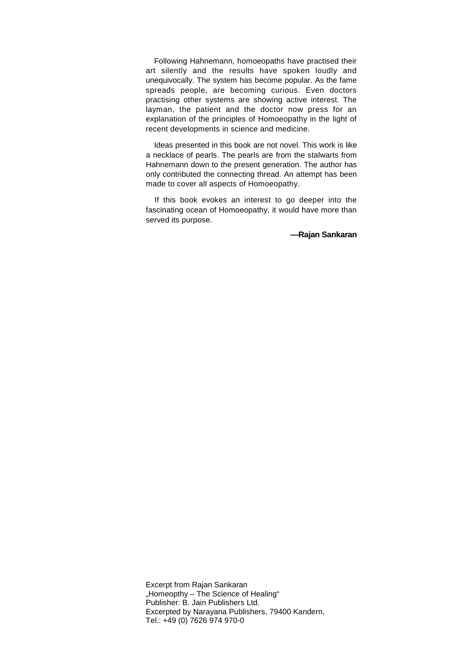Following Hahnemann, homoeopaths have practised their art silently and the results have spoken loudly and unequivocally. The system has become popular. As the fame spreads people, are becoming curious. Even doctors practising other systems are showing active interest. The layman, the patient and the doctor now press for an explanation of the principles of Homoeopathy in the light of recent developments in science and medicine.

Ideas presented in this book are not novel. This work is like a necklace of pearls. The pearls are from the stalwarts from Hahnemann down to the present generation. The author has only contributed the connecting thread. An attempt has been made to cover all aspects of Homoeopathy.

If this book evokes an interest to go deeper into the fascinating ocean of Homoeopathy, it would have more than served its purpose.

**—Rajan Sankaran**

Excerpt from Rajan Sankaran "Homeopthy – The Science of Healing" Publisher: B. Jain Publishers Ltd. Excerpted by Narayana Publishers, 79400 Kandern, Tel.: +49 (0) 7626 974 970-0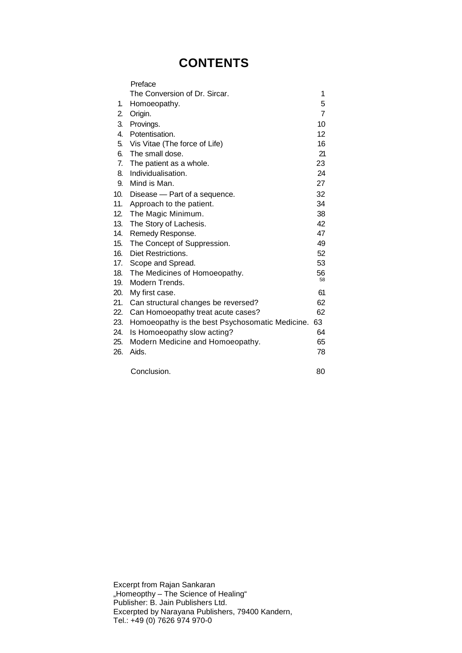## **CONTENTS**

|     | Preface                                         |                |
|-----|-------------------------------------------------|----------------|
|     | The Conversion of Dr. Sircar.                   | 1              |
| 1.  | Homoeopathy.                                    | 5              |
| 2.  | Origin.                                         | $\overline{7}$ |
| 3.  | Provings.                                       | 10             |
| 4.  | Potentisation.                                  | 12             |
| 5.  | Vis Vitae (The force of Life)                   | 16             |
| 6.  | The small dose.                                 | 21             |
| 7.  | The patient as a whole.                         | 23             |
| 8.  | Individualisation.                              | 24             |
| 9.  | Mind is Man.                                    | 27             |
| 10. | Disease - Part of a sequence.                   | 32             |
| 11. | Approach to the patient.                        | 34             |
| 12. | The Magic Minimum.                              | 38             |
| 13. | The Story of Lachesis.                          | 42             |
| 14. | Remedy Response.                                | 47             |
| 15. | The Concept of Suppression.                     | 49             |
| 16. | Diet Restrictions.                              | 52             |
| 17. | Scope and Spread.                               | 53             |
| 18. | The Medicines of Homoeopathy.                   | 56             |
| 19. | Modern Trends.                                  | 58             |
| 20. | My first case.                                  | 61             |
| 21. | Can structural changes be reversed?             | 62             |
| 22. | Can Homoeopathy treat acute cases?              | 62             |
| 23. | Homoeopathy is the best Psychosomatic Medicine. | 63             |
| 24. | Is Homoeopathy slow acting?                     | 64             |
| 25. | Modern Medicine and Homoeopathy.                | 65             |
| 26. | Aids.                                           | 78             |
|     | Conclusion.                                     | 80             |